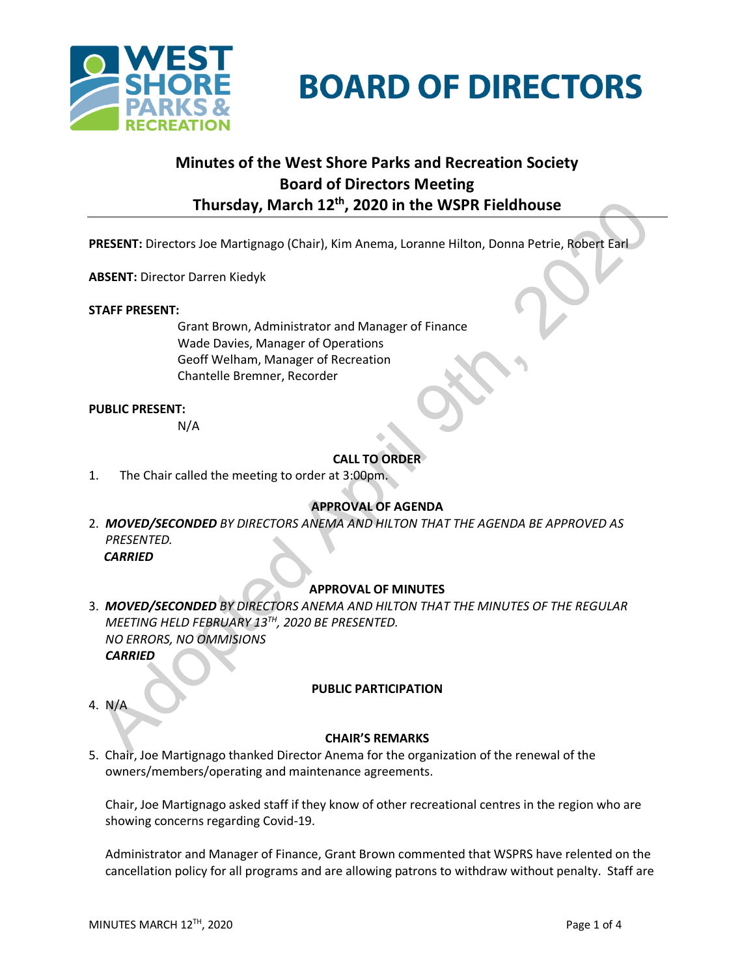



# **Minutes of the West Shore Parks and Recreation Society Board of Directors Meeting Thursday, March 12 th , 2020 in the WSPR Fieldhouse**

**PRESENT:** Directors Joe Martignago (Chair), Kim Anema, Loranne Hilton, Donna Petrie, Robert Earl

**ABSENT:** Director Darren Kiedyk

#### **STAFF PRESENT:**

Grant Brown, Administrator and Manager of Finance Wade Davies, Manager of Operations Geoff Welham, Manager of Recreation Chantelle Bremner, Recorder

#### **PUBLIC PRESENT:**

N/A

## **CALL TO ORDER**

1. The Chair called the meeting to order at 3:00pm.

#### **APPROVAL OF AGENDA**

2. *MOVED/SECONDED BY DIRECTORS ANEMA AND HILTON THAT THE AGENDA BE APPROVED AS PRESENTED. CARRIED*

#### **APPROVAL OF MINUTES**

3. *MOVED/SECONDED BY DIRECTORS ANEMA AND HILTON THAT THE MINUTES OF THE REGULAR MEETING HELD FEBRUARY 13 TH , 2020 BE PRESENTED. NO ERRORS, NO OMMISIONS CARRIED*

#### **PUBLIC PARTICIPATION**

4. N/A

#### **CHAIR'S REMARKS**

5. Chair, Joe Martignago thanked Director Anema for the organization of the renewal of the owners/members/operating and maintenance agreements.

Chair, Joe Martignago asked staff if they know of other recreational centres in the region who are showing concerns regarding Covid-19.

Administrator and Manager of Finance, Grant Brown commented that WSPRS have relented on the cancellation policy for all programs and are allowing patrons to withdraw without penalty. Staff are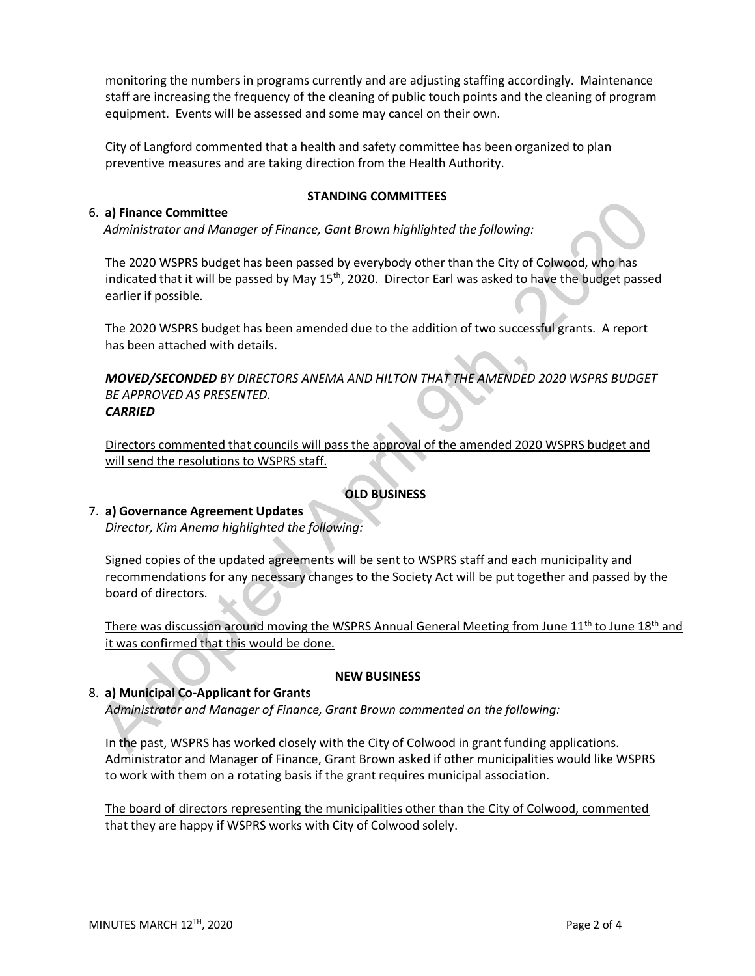monitoring the numbers in programs currently and are adjusting staffing accordingly. Maintenance staff are increasing the frequency of the cleaning of public touch points and the cleaning of program equipment. Events will be assessed and some may cancel on their own.

City of Langford commented that a health and safety committee has been organized to plan preventive measures and are taking direction from the Health Authority.

## 6. **a) Finance Committee**

## **STANDING COMMITTEES**

*Administrator and Manager of Finance, Gant Brown highlighted the following:*

The 2020 WSPRS budget has been passed by everybody other than the City of Colwood, who has indicated that it will be passed by May 15<sup>th</sup>, 2020. Director Earl was asked to have the budget passed earlier if possible.

The 2020 WSPRS budget has been amended due to the addition of two successful grants. A report has been attached with details.

*MOVED/SECONDED BY DIRECTORS ANEMA AND HILTON THAT THE AMENDED 2020 WSPRS BUDGET BE APPROVED AS PRESENTED. CARRIED*

Directors commented that councils will pass the approval of the amended 2020 WSPRS budget and will send the resolutions to WSPRS staff.

# **OLD BUSINESS**

## 7. **a) Governance Agreement Updates**

*Director, Kim Anema highlighted the following:*

Signed copies of the updated agreements will be sent to WSPRS staff and each municipality and recommendations for any necessary changes to the Society Act will be put together and passed by the board of directors.

There was discussion around moving the WSPRS Annual General Meeting from June 11<sup>th</sup> to June 18<sup>th</sup> and it was confirmed that this would be done.

## **NEW BUSINESS**

## 8. **a) Municipal Co-Applicant for Grants**

*Administrator and Manager of Finance, Grant Brown commented on the following:*

In the past, WSPRS has worked closely with the City of Colwood in grant funding applications. Administrator and Manager of Finance, Grant Brown asked if other municipalities would like WSPRS to work with them on a rotating basis if the grant requires municipal association.

The board of directors representing the municipalities other than the City of Colwood, commented that they are happy if WSPRS works with City of Colwood solely.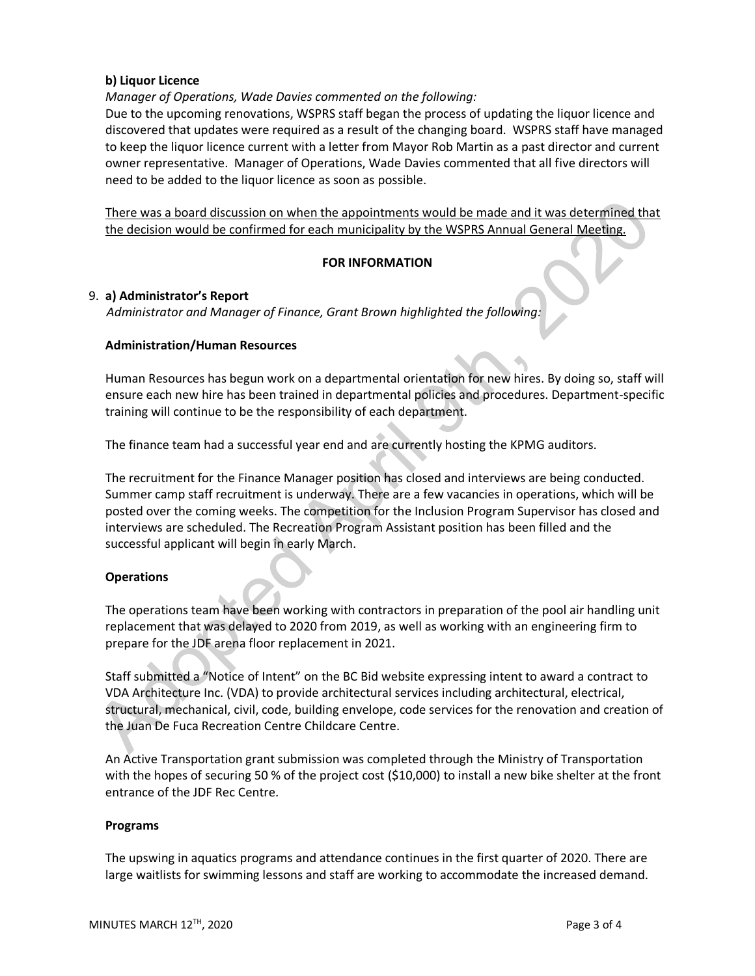## **b) Liquor Licence**

*Manager of Operations, Wade Davies commented on the following:*

Due to the upcoming renovations, WSPRS staff began the process of updating the liquor licence and discovered that updates were required as a result of the changing board. WSPRS staff have managed to keep the liquor licence current with a letter from Mayor Rob Martin as a past director and current owner representative. Manager of Operations, Wade Davies commented that all five directors will need to be added to the liquor licence as soon as possible.

There was a board discussion on when the appointments would be made and it was determined that the decision would be confirmed for each municipality by the WSPRS Annual General Meeting.

## **FOR INFORMATION**

## 9. **a) Administrator's Report**

*Administrator and Manager of Finance, Grant Brown highlighted the following:*

## **Administration/Human Resources**

Human Resources has begun work on a departmental orientation for new hires. By doing so, staff will ensure each new hire has been trained in departmental policies and procedures. Department-specific training will continue to be the responsibility of each department.

The finance team had a successful year end and are currently hosting the KPMG auditors.

The recruitment for the Finance Manager position has closed and interviews are being conducted. Summer camp staff recruitment is underway. There are a few vacancies in operations, which will be posted over the coming weeks. The competition for the Inclusion Program Supervisor has closed and interviews are scheduled. The Recreation Program Assistant position has been filled and the successful applicant will begin in early March.

## **Operations**

The operations team have been working with contractors in preparation of the pool air handling unit replacement that was delayed to 2020 from 2019, as well as working with an engineering firm to prepare for the JDF arena floor replacement in 2021.

Staff submitted a "Notice of Intent" on the BC Bid website expressing intent to award a contract to VDA Architecture Inc. (VDA) to provide architectural services including architectural, electrical, structural, mechanical, civil, code, building envelope, code services for the renovation and creation of the Juan De Fuca Recreation Centre Childcare Centre.

An Active Transportation grant submission was completed through the Ministry of Transportation with the hopes of securing 50 % of the project cost (\$10,000) to install a new bike shelter at the front entrance of the JDF Rec Centre.

#### **Programs**

The upswing in aquatics programs and attendance continues in the first quarter of 2020. There are large waitlists for swimming lessons and staff are working to accommodate the increased demand.